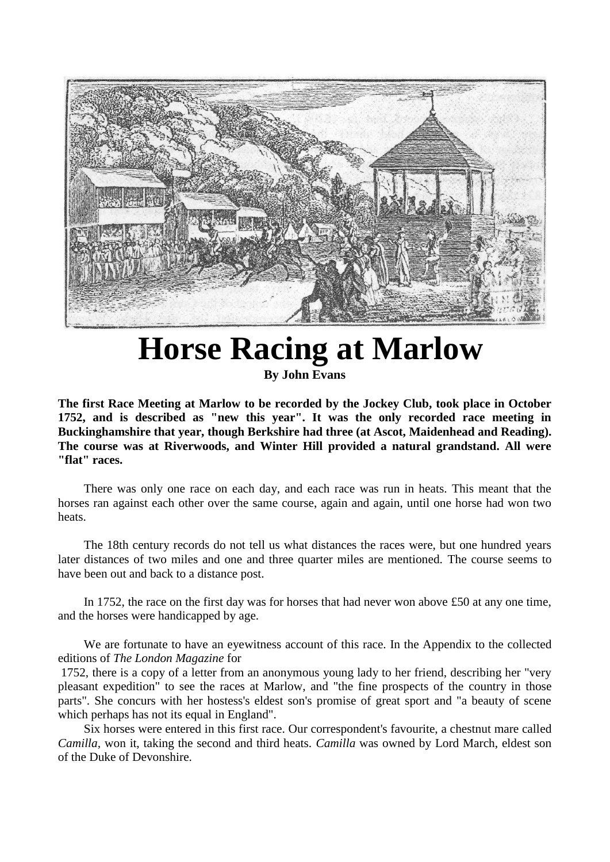

## **Horse Racing at Marlow**

**By John Evans**

**The first Race Meeting at Marlow to be recorded by the Jockey Club, took place in October 1752, and is described as "new this year". It was the only recorded race meeting in Buckinghamshire that year, though Berkshire had three (at Ascot, Maidenhead and Reading). The course was at Riverwoods, and Winter Hill provided a natural grandstand. All were "flat" races.**

There was only one race on each day, and each race was run in heats. This meant that the horses ran against each other over the same course, again and again, until one horse had won two heats.

The 18th century records do not tell us what distances the races were, but one hundred years later distances of two miles and one and three quarter miles are mentioned. The course seems to have been out and back to a distance post.

In 1752, the race on the first day was for horses that had never won above £50 at any one time, and the horses were handicapped by age.

We are fortunate to have an eyewitness account of this race. In the Appendix to the collected editions of *The London Magazine* for

1752, there is a copy of a letter from an anonymous young lady to her friend, describing her "very pleasant expedition" to see the races at Marlow, and "the fine prospects of the country in those parts". She concurs with her hostess's eldest son's promise of great sport and "a beauty of scene which perhaps has not its equal in England".

Six horses were entered in this first race. Our correspondent's favourite, a chestnut mare called *Camilla,* won it, taking the second and third heats. *Camilla* was owned by Lord March, eldest son of the Duke of Devonshire.